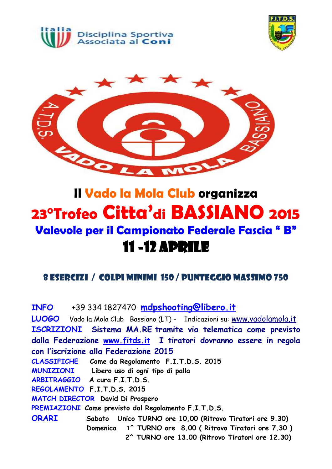





## **Il Vado la Mola Club organizza 23°Trofeo Citta'di BASSIANO 2015 Valevole per il Campionato Federale Fascia " B"** 11 -12 aprile

### <sup>8</sup> ESERCIZI / COLPI MINIMI 150 / PUNTEGGIO MASSIMO <sup>750</sup>

**INFO** +39 334 1827470 **[mdpshooting@libero.it](mailto:mdpshooting@libero.it) LUOGO** Vado la Mola Club Bassiano (LT) - Indicazioni su: www.vadolamola.it **ISCRIZIONI Sistema MA.RE tramite via telematica come previsto dalla Federazione [www.fitds.it](http://www.fitds.it/) I tiratori dovranno essere in regola con l'iscrizione alla Federazione 2015 CLASSIFICHE Come da Regolamento F.I.T.D.S. 2015 MUNIZIONI Libero uso di ogni tipo di palla ARBITRAGGIO A cura F.I.T.D.S. REGOLAMENTO F.I.T.D.S. 2015 MATCH DIRECTOR David Di Prospero PREMIAZIONI Come previsto dal Regolamento F.I.T.D.S. ORARI Sabato Unico TURNO ore 10,00 (Ritrovo Tiratori ore 9.30) Domenica 1^ TURNO ore 8.00 ( Ritrovo Tiratori ore 7.30 ) 2^ TURNO ore 13.00 (Ritrovo Tiratori ore 12.30)**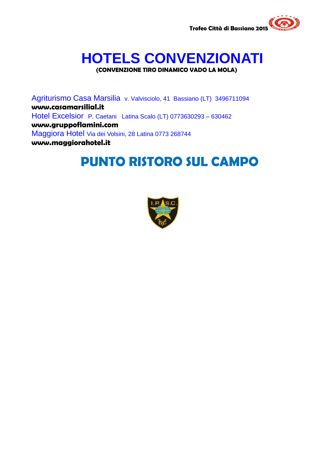

# **HOTELS CONVENZIONATI**

**(CONVENZIONE TIRO DINAMICO VADO LA MOLA)**

Agriturismo Casa Marsilia v. Valvisciolo, 41 Bassiano (LT) 3496711094 **www.casamarsilial.it** Hotel Excelsior P. Caetani Latina Scalo (LT) 0773630293 – 630462 **www.gruppoflamini.com** Maggiora Hotel Via dei Volsini, 28 Latina 0773 268744 **www.maggiorahotel.it**

### **PUNTO RISTORO SUL CAMPO**

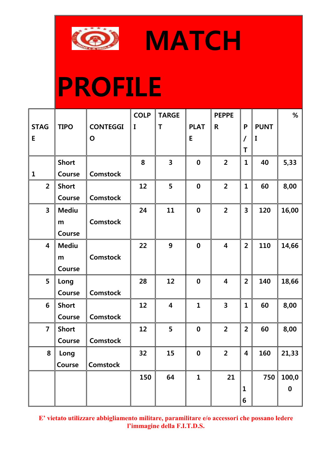

**MATCH** 

# **PROFILE**

|                         |              |                 | <b>COLP</b> | <b>TARGE</b>            |                  | <b>PEPPE</b>            |                         |             | $\%$     |
|-------------------------|--------------|-----------------|-------------|-------------------------|------------------|-------------------------|-------------------------|-------------|----------|
| <b>STAG</b>             | <b>TIPO</b>  | <b>CONTEGGI</b> | I           | T                       | <b>PLAT</b>      | R                       | P                       | <b>PUNT</b> |          |
| E                       |              | $\mathbf O$     |             |                         | E                |                         | 7                       | I           |          |
|                         |              |                 |             |                         |                  |                         | Τ                       |             |          |
|                         | <b>Short</b> |                 | 8           | $\overline{\mathbf{3}}$ | $\boldsymbol{0}$ | $\overline{2}$          | $\mathbf{1}$            | 40          | 5,33     |
| $\mathbf{1}$            | Course       | <b>Comstock</b> |             |                         |                  |                         |                         |             |          |
| $\overline{2}$          | <b>Short</b> |                 | 12          | 5                       | $\boldsymbol{0}$ | $\overline{2}$          | $\mathbf{1}$            | 60          | 8,00     |
|                         | Course       | <b>Comstock</b> |             |                         |                  |                         |                         |             |          |
| $\overline{\mathbf{3}}$ | <b>Mediu</b> |                 | 24          | 11                      | $\boldsymbol{0}$ | $\overline{2}$          | 3                       | 120         | 16,00    |
|                         | m            | <b>Comstock</b> |             |                         |                  |                         |                         |             |          |
|                         | Course       |                 |             |                         |                  |                         |                         |             |          |
| $\overline{\mathbf{4}}$ | <b>Mediu</b> |                 | 22          | 9                       | $\boldsymbol{0}$ | $\overline{\mathbf{4}}$ | $\overline{2}$          | 110         | 14,66    |
|                         | m            | <b>Comstock</b> |             |                         |                  |                         |                         |             |          |
|                         | Course       |                 |             |                         |                  |                         |                         |             |          |
| 5                       | Long         |                 | 28          | 12                      | $\boldsymbol{0}$ | 4                       | $\overline{2}$          | 140         | 18,66    |
|                         | Course       | <b>Comstock</b> |             |                         |                  |                         |                         |             |          |
| 6                       | <b>Short</b> |                 | 12          | $\overline{\mathbf{4}}$ | $\mathbf{1}$     | $\overline{\mathbf{3}}$ | $\mathbf{1}$            | 60          | 8,00     |
|                         | Course       | <b>Comstock</b> |             |                         |                  |                         |                         |             |          |
| $\overline{7}$          | <b>Short</b> |                 | 12          | 5                       | $\boldsymbol{0}$ | $\overline{2}$          | $\overline{2}$          | 60          | 8,00     |
|                         | Course       | <b>Comstock</b> |             |                         |                  |                         |                         |             |          |
| 8                       | Long         |                 | 32          | 15                      | $\boldsymbol{0}$ | $\overline{2}$          | $\overline{\mathbf{4}}$ | 160         | 21,33    |
|                         | Course       | <b>Comstock</b> |             |                         |                  |                         |                         |             |          |
|                         |              |                 | 150         | 64                      | $\mathbf 1$      | 21                      |                         | 750         | 100,0    |
|                         |              |                 |             |                         |                  |                         | $\mathbf{1}$            |             | $\bf{0}$ |
|                         |              |                 |             |                         |                  |                         | 6                       |             |          |

**E' vietato utilizzare abbigliamento militare, paramilitare e/o accessori che possano ledere l'immagine della F.I.T.D.S.**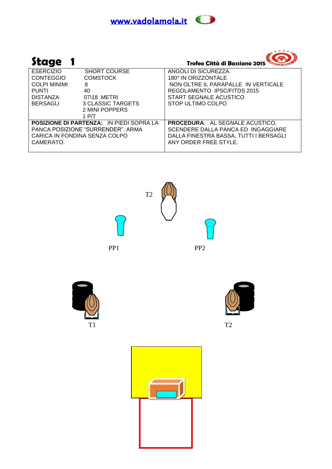



| Stage                             |                                                 | Trofeo Città di Bassiano 2015          |
|-----------------------------------|-------------------------------------------------|----------------------------------------|
| <b>ESERCIZIO</b>                  | <b>SHORT COURSE</b>                             | ANGOLI DI SICUREZZA.                   |
| <b>CONTEGGIO</b>                  | <b>COMSTOCK</b>                                 | 180° IN ORIZZONTALE                    |
| <b>COLPI MINIMI</b>               | 8                                               | NON OLTRE IL PARAPALLE IN VERTICALE    |
| <b>PUNTI</b>                      | 40                                              | REGOLAMENTO IPSC/FITDS 2015            |
| <b>DISTANZA</b>                   | 07\18 METRI                                     | START SEGNALE ACUSTICO                 |
| BERSAGLI                          | 3 CLASSIC TARGETS                               | STOP ULTIMO COLPO                      |
|                                   | 2 MINI POPPERS                                  |                                        |
|                                   | 1 P/T                                           |                                        |
|                                   | <b>POSIZIONE DI PARTENZA: IN PIEDI SOPRA LA</b> | <b>PROCEDURA: AL SEGNALE ACUSTICO,</b> |
| PANCA POSIZIONE "SURRENDER", ARMA |                                                 | SCENDERE DALLA PANCA ED INGAGGIARE     |
| CARICA IN FONDINA SENZA COLPO     |                                                 | DALLA FINESTRA BASSA, TUTTI I BERSAGLI |
| CAMERATO.                         |                                                 | ANY ORDER FREE STYLE.                  |
|                                   |                                                 |                                        |





PP1 PP2





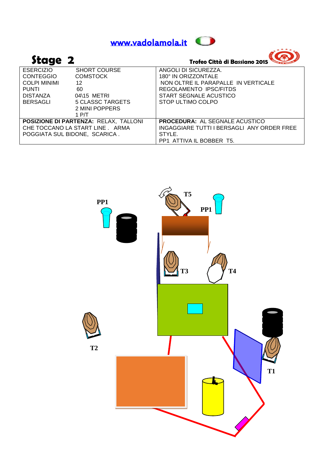

 $A^{\star\star\star\star}$ 

| Stage 2             |                                       | Trofeo Città di Bassiano 2015              |
|---------------------|---------------------------------------|--------------------------------------------|
| <b>ESERCIZIO</b>    | <b>SHORT COURSE</b>                   | ANGOLI DI SICUREZZA.                       |
| <b>CONTEGGIO</b>    | <b>COMSTOCK</b>                       | 180° IN ORIZZONTALE                        |
| <b>COLPI MINIMI</b> | 12                                    | NON OLTRE IL PARAPALLE IN VERTICALE        |
| <b>PUNTI</b>        | 60                                    | REGOLAMENTO IPSC/FITDS                     |
| <b>DISTANZA</b>     | 04\15 METRI                           | START SEGNALE ACUSTICO                     |
| <b>BERSAGLI</b>     | 5 CLASSC TARGETS                      | STOP ULTIMO COLPO                          |
|                     | 2 MINI POPPERS                        |                                            |
|                     | 1 P/T                                 |                                            |
|                     | POSIZIONE DI PARTENZA: RELAX, TALLONI | <b>PROCEDURA: AL SEGNALE ACUSTICO</b>      |
|                     | CHE TOCCANO LA START LINE . ARMA      | INGAGGIARE TUTTI I BERSAGLI ANY ORDER FREE |
|                     | POGGIATA SUL BIDONE, SCARICA.         | STYLE.                                     |
|                     |                                       | PP1 ATTIVA IL BOBBER T5.                   |

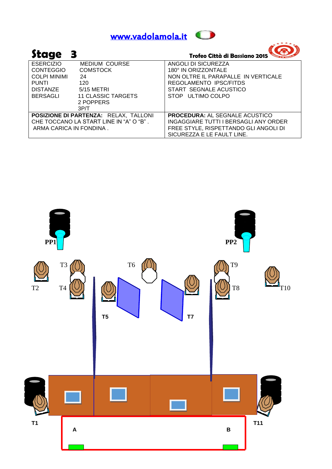

| Stage               |                                         | Trofeo Città di Bassiano 2015         |
|---------------------|-----------------------------------------|---------------------------------------|
| <b>ESERCIZIO</b>    | <b>MEDIUM COURSE</b>                    | ANGOLI DI SICUREZZA                   |
| <b>CONTEGGIO</b>    | <b>COMSTOCK</b>                         | 180° IN ORIZZONTALE                   |
| <b>COLPI MINIMI</b> | 24                                      | NON OLTRE IL PARAPALLE IN VERTICALE   |
| <b>PUNTI</b>        | 120                                     | REGOLAMENTO IPSC/FITDS                |
| <b>DISTANZE</b>     | 5/15 METRI                              | START SEGNALE ACUSTICO                |
| BERSAGLI            | 11 CLASSIC TARGETS                      | STOP ULTIMO COLPO                     |
|                     | 2 POPPERS                               |                                       |
|                     | 3P/T                                    |                                       |
|                     | POSIZIONE DI PARTENZA: RELAX, TALLONI   | <b>PROCEDURA: AL SEGNALE ACUSTICO</b> |
|                     | CHE TOCCANO LA START LINE IN "A" O "B". | INGAGGIARE TUTTI I BERSAGLI ANY ORDER |
|                     | ARMA CARICA IN FONDINA.                 | FREE STYLE, RISPETTANDO GLI ANGOLI DI |
|                     |                                         | SICUREZZA E LE FAULT LINE.            |



 $+ + + + +$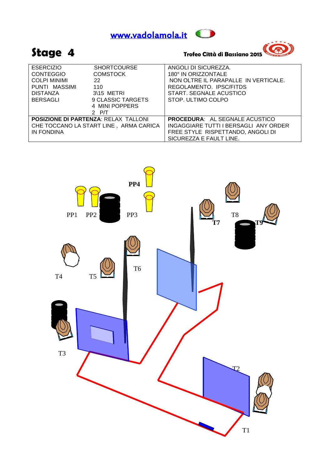



### **Stage 4 Trofeo Città di Bassiano 2015**



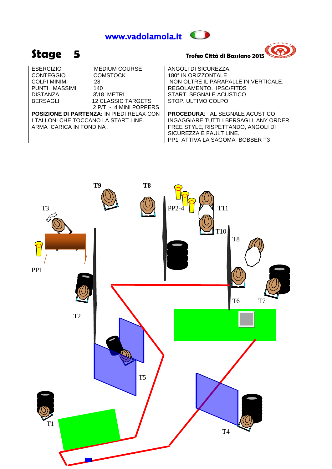



### **Stage 5 Trofeo Città di Bassiano 2015**

| <b>ESERCIZIO</b>                     | <b>MEDIUM COURSE</b>                             | ANGOLI DI SICUREZZA.                  |
|--------------------------------------|--------------------------------------------------|---------------------------------------|
| <b>CONTEGGIO</b>                     | <b>COMSTOCK</b>                                  | 180° IN ORIZZONTALE                   |
| <b>COLPI MINIMI</b>                  | 28                                               | NON OLTRE IL PARAPALLE IN VERTICALE.  |
| PUNTI MASSIMI                        | 140                                              | REGOLAMENTO. IPSC/FITDS               |
| <b>DISTANZA</b>                      | 3\18 METRI                                       | START. SEGNALE ACUSTICO               |
| <b>BERSAGLI</b>                      | <b>12 CLASSIC TARGETS</b>                        | STOP. ULTIMO COLPO                    |
|                                      | 2 P/T - 4 MINI POPPERS                           |                                       |
|                                      | <b>POSIZIONE DI PARTENZA: IN PIEDI RELAX CON</b> | <b>PROCEDURA: AL SEGNALE ACUSTICO</b> |
| I TALLONI CHE TOCCANO LA START LINE. |                                                  | INGAGGIARE TUTTI I BERSAGLI ANY ORDER |
| ARMA CARICA IN FONDINA.              |                                                  | FREE STYLE, RISPETTANDO, ANGOLI DI    |
|                                      |                                                  | SICUREZZA E FAULT LINE.               |
|                                      |                                                  | PP1 ATTIVA LA SAGOMA BOBBER T3        |

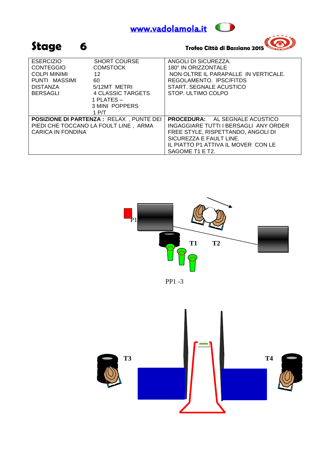





| <b>ESERCIZIO</b><br><b>CONTEGGIO</b><br><b>COLPI MINIMI</b><br>PUNTI MASSIMI<br><b>DISTANZA</b><br>BERSAGLI | <b>SHORT COURSE</b><br><b>COMSTOCK</b><br>12<br>60<br>5/12MT METRI<br>4 CLASSIC TARGETS<br>1 PLATES -<br>3 MINI POPPERS<br>1 P/T | ANGOLI DI SICUREZZA.<br>180° IN ORIZZONTALE<br>NON OLTRE IL PARAPALLE IN VERTICALE.<br>REGOLAMENTO. IPSC/FITDS<br>START, SEGNALE ACUSTICO<br>STOP. ULTIMO COLPO                                           |
|-------------------------------------------------------------------------------------------------------------|----------------------------------------------------------------------------------------------------------------------------------|-----------------------------------------------------------------------------------------------------------------------------------------------------------------------------------------------------------|
| CARICA IN FONDINA                                                                                           | <b>POSIZIONE DI PARTENZA : RELAX, PUNTE DEI</b><br>PIEDI CHE TOCCANO LA FOULT LINE, ARMA                                         | <b>PROCEDURA:</b> AL SEGNALE ACUSTICO<br>INGAGGIARE TUTTI I BERSAGLI ANY ORDER<br>FREE STYLE, RISPETTANDO, ANGOLI DI<br>SICUREZZA E FAULT LINE.<br>IL PIATTO P1 ATTIVA IL MOVER CON LE<br>SAGOME T1 E T2. |



PP1 -3

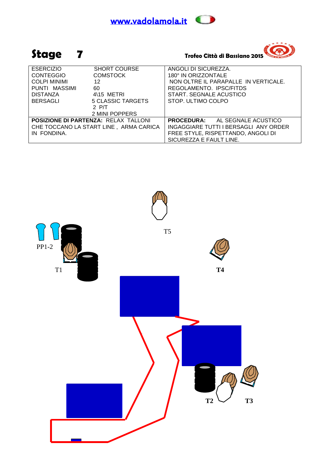



| <b>ESERCIZIO</b>                       | <b>SHORT COURSE</b>                         | ANGOLI DI SICUREZZA.                  |
|----------------------------------------|---------------------------------------------|---------------------------------------|
| <b>CONTEGGIO</b>                       | <b>COMSTOCK</b>                             | 180° IN ORIZZONTALE                   |
| <b>COLPI MINIMI</b>                    | 12                                          | NON OLTRE IL PARAPALLE IN VERTICALE.  |
| PUNTI MASSIMI                          | 60                                          | REGOLAMENTO. IPSC/FITDS               |
| DISTANZA                               | $4\overline{15}$ METRI                      | START. SEGNALE ACUSTICO               |
| <b>BERSAGLI</b>                        | 5 CLASSIC TARGETS                           | STOP. ULTIMO COLPO                    |
|                                        | 2 $P/T$                                     |                                       |
|                                        | 2 MINI POPPERS                              |                                       |
|                                        | <b>POSIZIONE DI PARTENZA: RELAX TALLONI</b> | <b>PROCEDURA:</b> AL SEGNALE ACUSTICO |
| CHE TOCCANO LA START LINE, ARMA CARICA |                                             | INGAGGIARE TUTTI I BERSAGLI ANY ORDER |
| IN FONDINA.                            |                                             | FREE STYLE, RISPETTANDO, ANGOLI DI    |
|                                        |                                             | SICUREZZA E FAULT LINE.               |